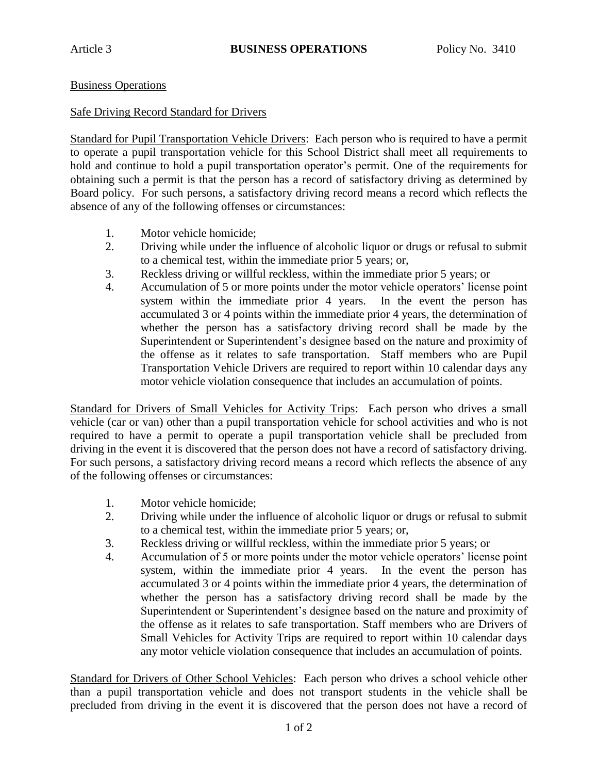## Business Operations

## Safe Driving Record Standard for Drivers

Standard for Pupil Transportation Vehicle Drivers: Each person who is required to have a permit to operate a pupil transportation vehicle for this School District shall meet all requirements to hold and continue to hold a pupil transportation operator's permit. One of the requirements for obtaining such a permit is that the person has a record of satisfactory driving as determined by Board policy. For such persons, a satisfactory driving record means a record which reflects the absence of any of the following offenses or circumstances:

- 1. Motor vehicle homicide;
- 2. Driving while under the influence of alcoholic liquor or drugs or refusal to submit to a chemical test, within the immediate prior 5 years; or,
- 3. Reckless driving or willful reckless, within the immediate prior 5 years; or
- 4. Accumulation of 5 or more points under the motor vehicle operators' license point system within the immediate prior 4 years. In the event the person has accumulated 3 or 4 points within the immediate prior 4 years, the determination of whether the person has a satisfactory driving record shall be made by the Superintendent or Superintendent's designee based on the nature and proximity of the offense as it relates to safe transportation. Staff members who are Pupil Transportation Vehicle Drivers are required to report within 10 calendar days any motor vehicle violation consequence that includes an accumulation of points.

Standard for Drivers of Small Vehicles for Activity Trips: Each person who drives a small vehicle (car or van) other than a pupil transportation vehicle for school activities and who is not required to have a permit to operate a pupil transportation vehicle shall be precluded from driving in the event it is discovered that the person does not have a record of satisfactory driving. For such persons, a satisfactory driving record means a record which reflects the absence of any of the following offenses or circumstances:

- 1. Motor vehicle homicide;
- 2. Driving while under the influence of alcoholic liquor or drugs or refusal to submit to a chemical test, within the immediate prior 5 years; or,
- 3. Reckless driving or willful reckless, within the immediate prior 5 years; or
- 4. Accumulation of 5 or more points under the motor vehicle operators' license point system, within the immediate prior 4 years. In the event the person has accumulated 3 or 4 points within the immediate prior 4 years, the determination of whether the person has a satisfactory driving record shall be made by the Superintendent or Superintendent's designee based on the nature and proximity of the offense as it relates to safe transportation. Staff members who are Drivers of Small Vehicles for Activity Trips are required to report within 10 calendar days any motor vehicle violation consequence that includes an accumulation of points.

Standard for Drivers of Other School Vehicles: Each person who drives a school vehicle other than a pupil transportation vehicle and does not transport students in the vehicle shall be precluded from driving in the event it is discovered that the person does not have a record of